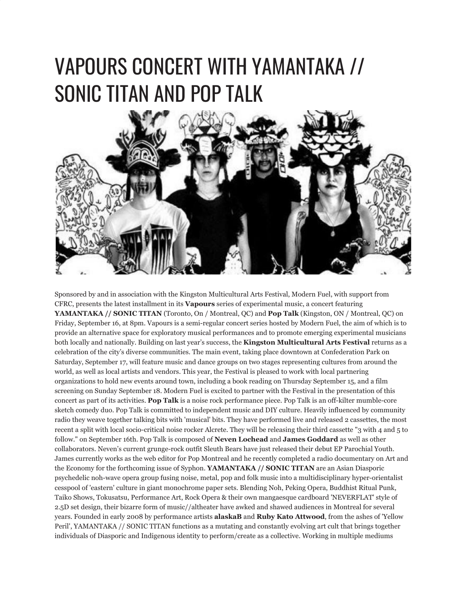## VAPOURS CONCERT WITH YAMANTAKA // SONIC TITAN AND POP TALK



Sponsored by and in association with the Kingston Multicultural Arts Festival, Modern Fuel, with support from CFRC, presents the latest installment in its **Vapours** series of experimental music, a concert featuring **YAMANTAKA // SONIC TITAN** (Toronto, On / Montreal, QC) and **Pop Talk** (Kingston, ON / Montreal, QC) on Friday, September 16, at 8pm. Vapours is a semi-regular concert series hosted by Modern Fuel, the aim of which is to provide an alternative space for exploratory musical performances and to promote emerging experimental musicians both locally and nationally. Building on last year's success, the **Kingston Multicultural Arts Festival** returns as a celebration of the city's diverse communities. The main event, taking place downtown at Confederation Park on Saturday, September 17, will feature music and dance groups on two stages representing cultures from around the world, as well as local artists and vendors. This year, the Festival is pleased to work with local partnering organizations to hold new events around town, including a book reading on Thursday September 15, and a film screening on Sunday September 18. Modern Fuel is excited to partner with the Festival in the presentation of this concert as part of its activities. **Pop Talk** is a noise rock performance piece. Pop Talk is an off-kilter mumble-core sketch comedy duo. Pop Talk is committed to independent music and DIY culture. Heavily influenced by community radio they weave together talking bits with 'musical' bits. They have performed live and released 2 cassettes, the most recent a split with local socio-critical noise rocker Alcrete. They will be releasing their third cassette "3 with 4 and 5 to follow." on September 16th. Pop Talk is composed of **Neven Lochead** and **James Goddard** as well as other collaborators. Neven's current grunge-rock outfit Sleuth Bears have just released their debut EP Parochial Youth. James currently works as the web editor for Pop Montreal and he recently completed a radio documentary on Art and the Economy for the forthcoming issue of Syphon. **YAMANTAKA // SONIC TITAN** are an Asian Diasporic psychedelic noh-wave opera group fusing noise, metal, pop and folk music into a multidisciplinary hyper-orientalist cesspool of 'eastern' culture in giant monochrome paper sets. Blending Noh, Peking Opera, Buddhist Ritual Punk, Taiko Shows, Tokusatsu, Performance Art, Rock Opera & their own mangaesque cardboard 'NEVERFLAT' style of 2.5D set design, their bizarre form of music//altheater have awked and shawed audiences in Montreal for several years. Founded in early 2008 by performance artists **alaskaB** and **Ruby Kato Attwood**, from the ashes of 'Yellow Peril', YAMANTAKA // SONIC TITAN functions as a mutating and constantly evolving art cult that brings together individuals of Diasporic and Indigenous identity to perform/create as a collective. Working in multiple mediums